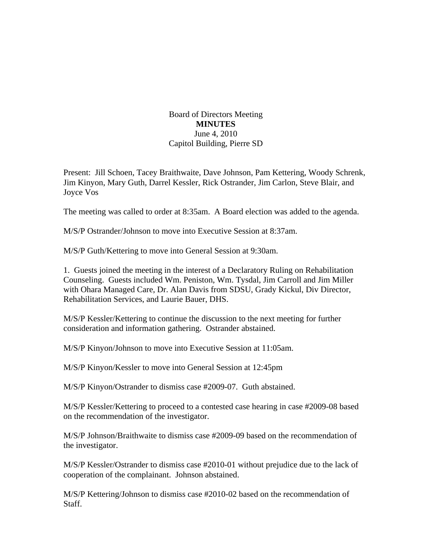## Board of Directors Meeting **MINUTES**  June 4, 2010 Capitol Building, Pierre SD

Present: Jill Schoen, Tacey Braithwaite, Dave Johnson, Pam Kettering, Woody Schrenk, Jim Kinyon, Mary Guth, Darrel Kessler, Rick Ostrander, Jim Carlon, Steve Blair, and Joyce Vos

The meeting was called to order at 8:35am. A Board election was added to the agenda.

M/S/P Ostrander/Johnson to move into Executive Session at 8:37am.

M/S/P Guth/Kettering to move into General Session at 9:30am.

1. Guests joined the meeting in the interest of a Declaratory Ruling on Rehabilitation Counseling. Guests included Wm. Peniston, Wm. Tysdal, Jim Carroll and Jim Miller with Ohara Managed Care, Dr. Alan Davis from SDSU, Grady Kickul, Div Director, Rehabilitation Services, and Laurie Bauer, DHS.

M/S/P Kessler/Kettering to continue the discussion to the next meeting for further consideration and information gathering. Ostrander abstained.

M/S/P Kinyon/Johnson to move into Executive Session at 11:05am.

M/S/P Kinyon/Kessler to move into General Session at 12:45pm

M/S/P Kinyon/Ostrander to dismiss case #2009-07. Guth abstained.

M/S/P Kessler/Kettering to proceed to a contested case hearing in case #2009-08 based on the recommendation of the investigator.

M/S/P Johnson/Braithwaite to dismiss case #2009-09 based on the recommendation of the investigator.

M/S/P Kessler/Ostrander to dismiss case #2010-01 without prejudice due to the lack of cooperation of the complainant. Johnson abstained.

M/S/P Kettering/Johnson to dismiss case #2010-02 based on the recommendation of Staff.